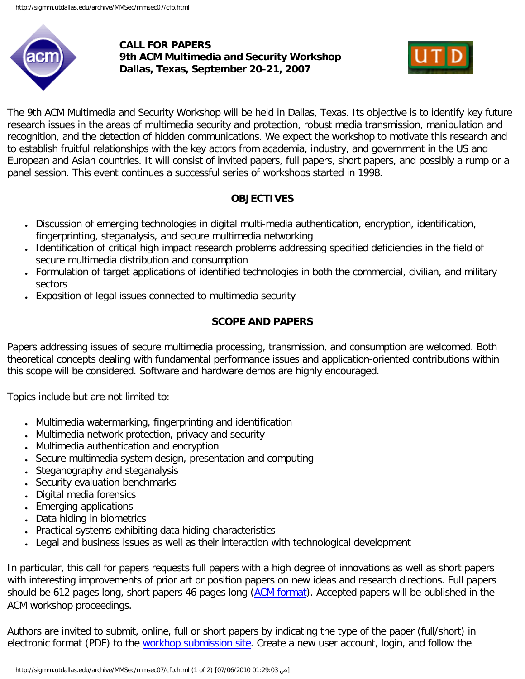

**CALL FOR PAPERS 9th ACM Multimedia and Security Workshop Dallas, Texas, September 20-21, 2007**



The 9th ACM Multimedia and Security Workshop will be held in Dallas, Texas. Its objective is to identify key future research issues in the areas of multimedia security and protection, robust media transmission, manipulation and recognition, and the detection of hidden communications. We expect the workshop to motivate this research and to establish fruitful relationships with the key actors from academia, industry, and government in the US and European and Asian countries. It will consist of invited papers, full papers, short papers, and possibly a rump or a panel session. This event continues a successful series of workshops started in 1998.

## **OBJECTIVES**

- Discussion of emerging technologies in digital multi-media authentication, encryption, identification, fingerprinting, steganalysis, and secure multimedia networking
- Identification of critical high impact research problems addressing specified deficiencies in the field of secure multimedia distribution and consumption
- Formulation of target applications of identified technologies in both the commercial, civilian, and military sectors
- Exposition of legal issues connected to multimedia security

# **SCOPE AND PAPERS**

Papers addressing issues of secure multimedia processing, transmission, and consumption are welcomed. Both theoretical concepts dealing with fundamental performance issues and application-oriented contributions within this scope will be considered. Software and hardware demos are highly encouraged.

Topics include but are not limited to:

- Multimedia watermarking, fingerprinting and identification
- Multimedia network protection, privacy and security
- Multimedia authentication and encryption
- Secure multimedia system design, presentation and computing
- Steganography and steganalysis
- Security evaluation benchmarks
- Digital media forensics
- Emerging applications
- Data hiding in biometrics
- Practical systems exhibiting data hiding characteristics
- Legal and business issues as well as their interaction with technological development

In particular, this call for papers requests full papers with a high degree of innovations as well as short papers with interesting improvements of prior art or position papers on new ideas and research directions. Full papers should be 6 12 pages long, short papers 4 6 pages long **(ACM format)**. Accepted papers will be published in the ACM workshop proceedings.

Authors are invited to submit, online, full or short papers by indicating the type of the paper (full/short) in electronic format (PDF) to the [workhop submission site](https://msrcmt.research.microsoft.com/ACM2007). Create a new user account, login, and follow the